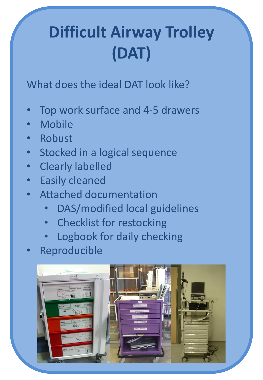# **Difficult Airway Trolley (DAT)**

What does the ideal DAT look like?

- Top work surface and 4-5 drawers
- **Mobile**
- **Robust**
- Stocked in a logical sequence
- Clearly labelled
- **Easily cleaned**
- Attached documentation
	- DAS/modified local guidelines
	- Checklist for restocking
	- Logbook for daily checking
- **Reproducible**

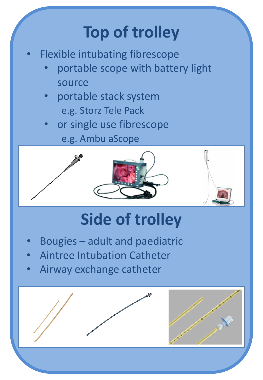# **Top of trolley**

- Flexible intubating fibrescope
	- portable scope with battery light source
	- portable stack system e.g. Storz Tele Pack
	- or single use fibrescope e.g. Ambu aScope





## **Side of trolley**

- Bougies adult and paediatric
- Aintree Intubation Catheter
- Airway exchange catheter

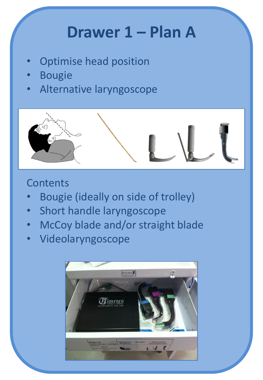### **Drawer 1 – Plan A**

- Optimise head position
- **Bougie**
- Alternative laryngoscope



- Bougie (ideally on side of trolley)
- Short handle laryngoscope
- McCoy blade and/or straight blade
- Videolaryngoscope

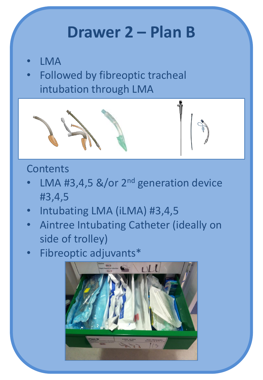### **Drawer 2 – Plan B**

- LMA
- Followed by fibreoptic tracheal intubation through LMA



- LMA #3,4,5  $&$ /or 2<sup>nd</sup> generation device #3,4,5
- Intubating LMA (iLMA) #3,4,5
- Aintree Intubating Catheter (ideally on side of trolley)
- Fibreoptic adjuvants\*

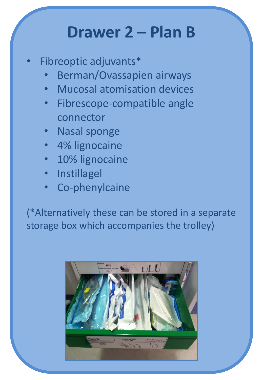#### **Drawer 2 – Plan B**

- Fibreoptic adjuvants\*
	- Berman/Ovassapien airways
	- Mucosal atomisation devices
	- Fibrescope-compatible angle connector
	- Nasal sponge
	- 4% lignocaine
	- 10% lignocaine
	- **Instillagel**
	- Co-phenylcaine

(\*Alternatively these can be stored in a separate storage box which accompanies the trolley)

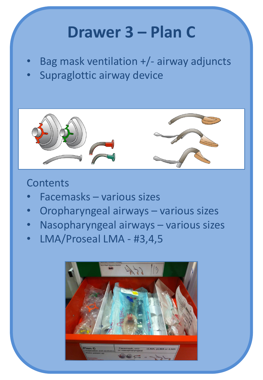### **Drawer 3 – Plan C**

- Bag mask ventilation +/- airway adjuncts
- Supraglottic airway device



- Facemasks various sizes
- Oropharyngeal airways various sizes
- Nasopharyngeal airways various sizes
- LMA/Proseal LMA #3,4,5

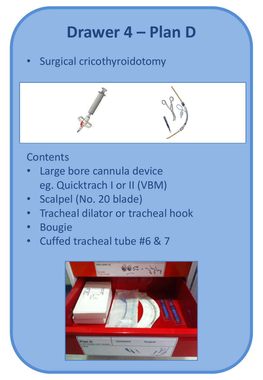### **Drawer 4 – Plan D**

Surgical cricothyroidotomy



- Large bore cannula device eg. Quicktrach I or II (VBM)
- Scalpel (No. 20 blade)
- Tracheal dilator or tracheal hook
- Bougie
- Cuffed tracheal tube #6 & 7

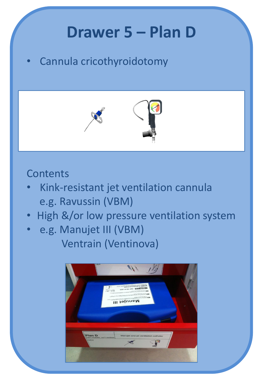## **Drawer 5 – Plan D**

• Cannula cricothyroidotomy



- Kink-resistant jet ventilation cannula e.g. Ravussin (VBM)
- High &/or low pressure ventilation system
- e.g. Manujet III (VBM) Ventrain (Ventinova)

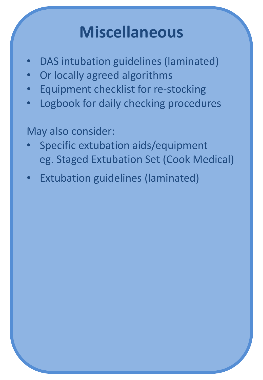## **Miscellaneous**

- DAS intubation guidelines (laminated)
- Or locally agreed algorithms
- Equipment checklist for re-stocking
- Logbook for daily checking procedures

May also consider:

- Specific extubation aids/equipment eg. Staged Extubation Set (Cook Medical)
- **Extubation guidelines (laminated)**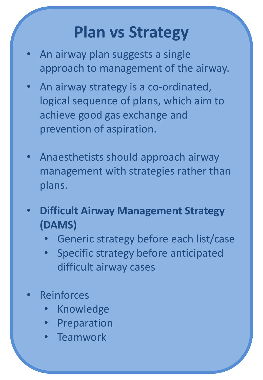## **Plan vs Strategy**

- An airway plan suggests a single approach to management of the airway.
- An airway strategy is a co-ordinated, logical sequence of plans, which aim to achieve good gas exchange and prevention of aspiration.
- Anaesthetists should approach airway management with strategies rather than plans.
- **Difficult Airway Management Strategy (DAMS)**
	- Generic strategy before each list/case
	- Specific strategy before anticipated difficult airway cases
- **Reinforces** 
	- **Knowledge**
	- **Preparation**
	- **Teamwork**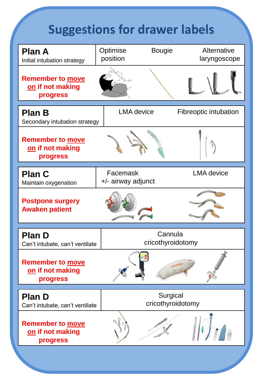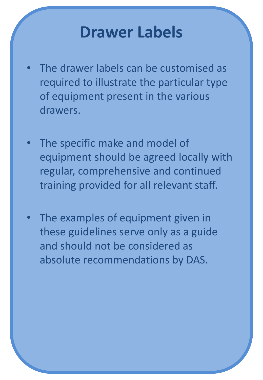#### **Drawer Labels**

- The drawer labels can be customised as required to illustrate the particular type of equipment present in the various drawers.
- The specific make and model of equipment should be agreed locally with regular, comprehensive and continued training provided for all relevant staff.
- The examples of equipment given in these guidelines serve only as a guide and should not be considered as absolute recommendations by DAS.